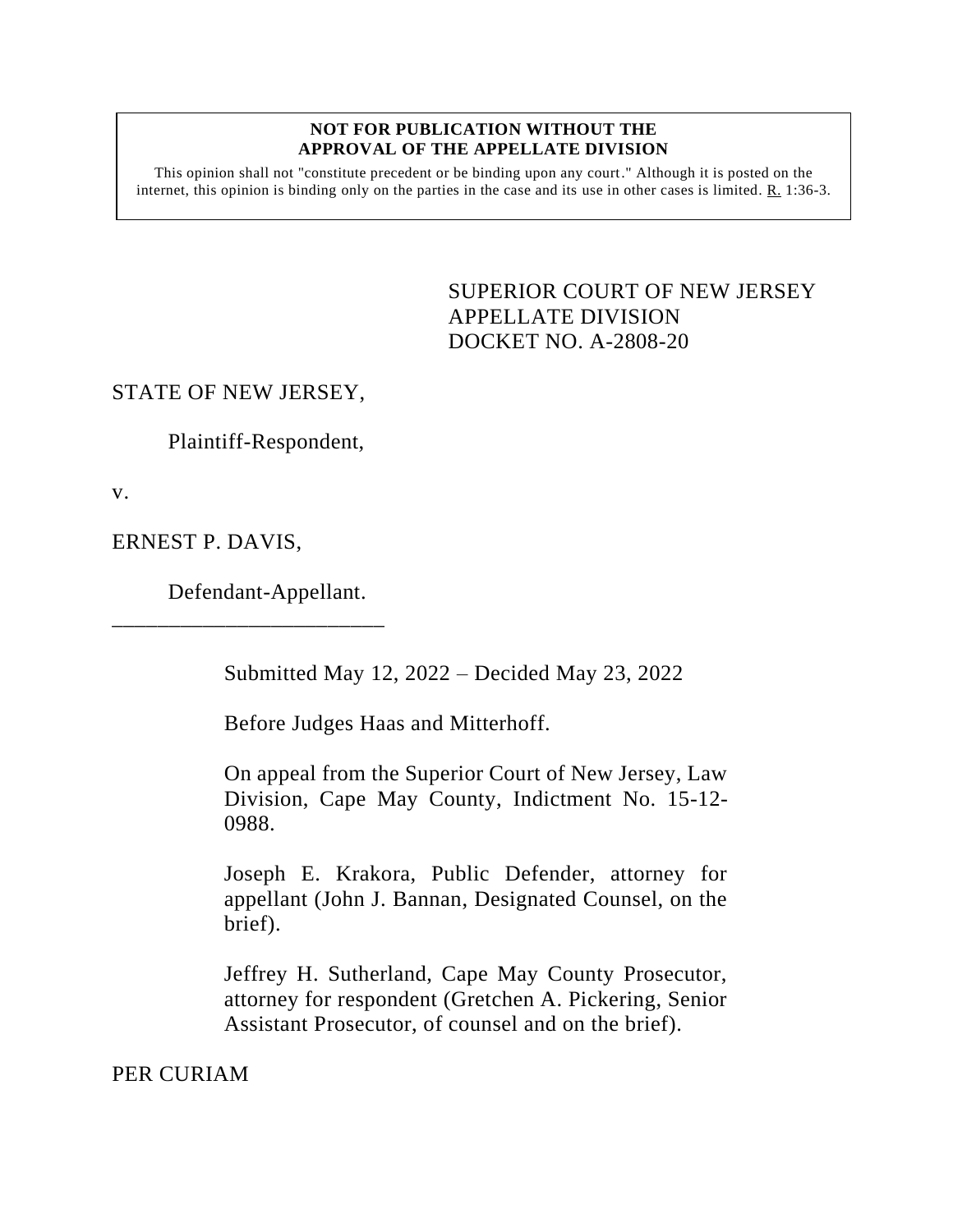## **NOT FOR PUBLICATION WITHOUT THE APPROVAL OF THE APPELLATE DIVISION**

This opinion shall not "constitute precedent or be binding upon any court." Although it is posted on the internet, this opinion is binding only on the parties in the case and its use in other cases is limited.  $R_1$  1:36-3.

> <span id="page-0-0"></span>SUPERIOR COURT OF NEW JERSEY APPELLATE DIVISION DOCKET NO. A-2808-20

## STATE OF NEW JERSEY,

Plaintiff-Respondent,

v.

ERNEST P. DAVIS,

Defendant-Appellant.

\_\_\_\_\_\_\_\_\_\_\_\_\_\_\_\_\_\_\_\_\_\_\_\_

Submitted May 12, 2022 – Decided May 23, 2022

Before Judges Haas and Mitterhoff.

On appeal from the Superior Court of New Jersey, Law Division, Cape May County, Indictment No. 15-12- 0988.

Joseph E. Krakora, Public Defender, attorney for appellant (John J. Bannan, Designated Counsel, on the brief).

Jeffrey H. Sutherland, Cape May County Prosecutor, attorney for respondent (Gretchen A. Pickering, Senior Assistant Prosecutor, of counsel and on the brief).

PER CURIAM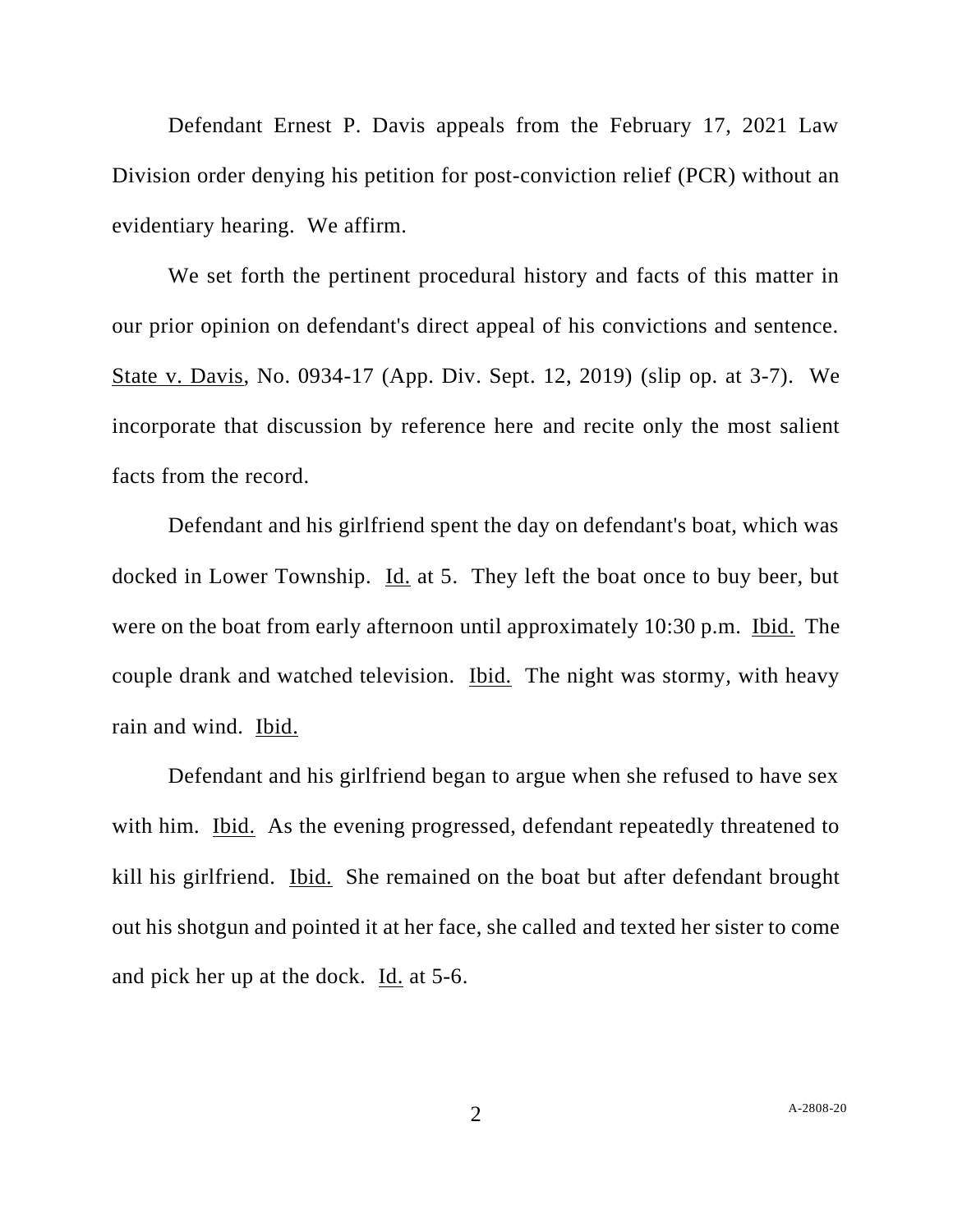Defendant Ernest P. Davis appeals from the February 17, 2021 Law Division order denying his petition for post-conviction relief (PCR) without an evidentiary hearing. We affirm.

We set forth the pertinent procedural history and facts of this matter in our prior opinion on defendant's direct appeal of his convictions and sentence. State v. Davis, No. 0934-17 (App. Div. Sept. 12, 2019) (slip op. at 3-7). We incorporate that discussion by reference here and recite only the most salient facts from the record.

Defendant and his girlfriend spent the day on defendant's boat, which was docked in Lower Township. Id. at 5. They left the boat once to buy beer, but were on the boat from early afternoon until approximately 10:30 p.m. Ibid. The couple drank and watched television. Ibid. The night was stormy, with heavy rain and wind. Ibid.

Defendant and his girlfriend began to argue when she refused to have sex with him. Ibid. As the evening progressed, defendant repeatedly threatened to kill his girlfriend. Ibid. She remained on the boat but after defendant brought out his shotgun and pointed it at her face, she called and texted her sister to come and pick her up at the dock. Id. at 5-6.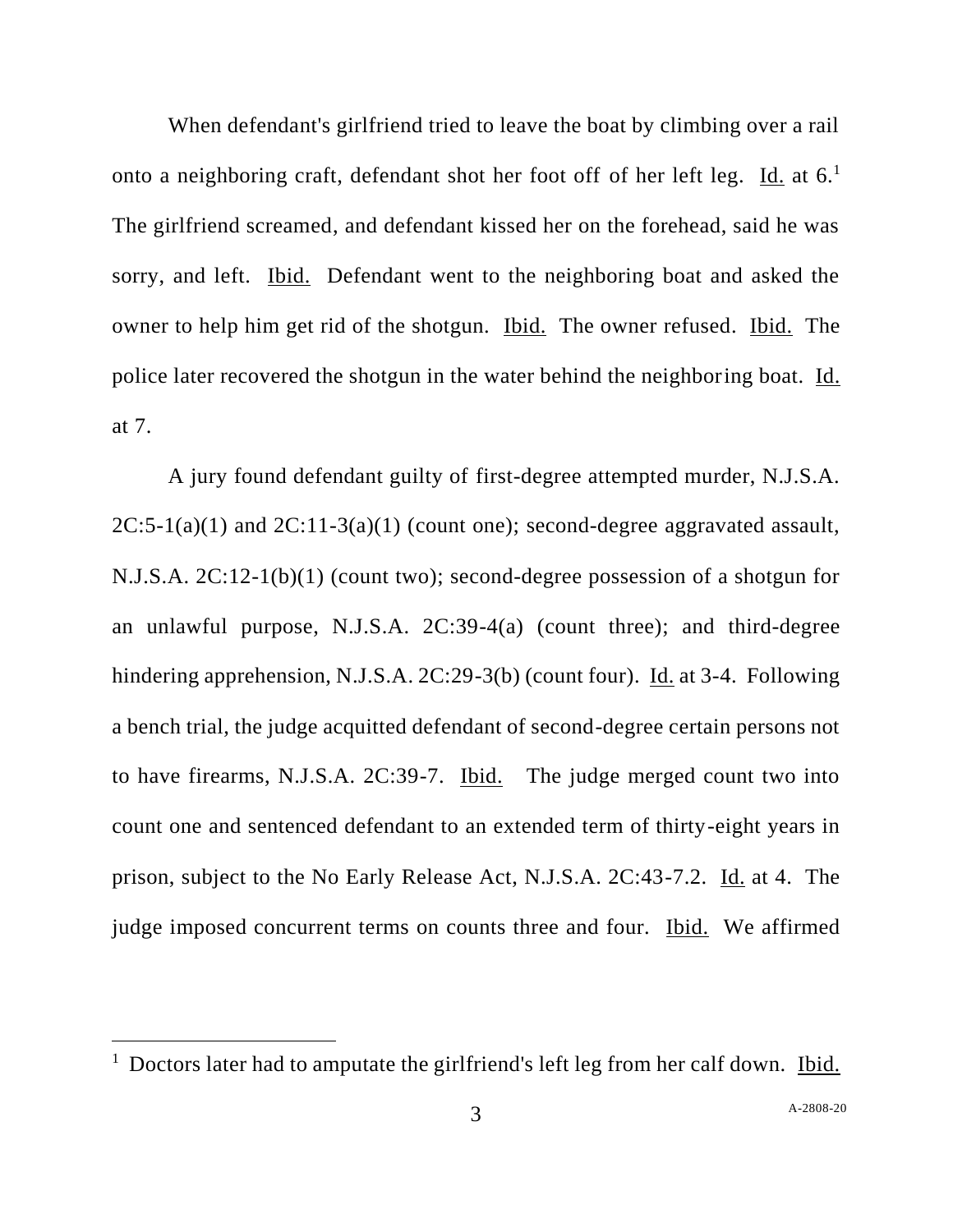When defendant's girlfriend tried to leave the boat by climbing over a rail onto a neighboring craft, defendant shot her foot off of her left leg.  $\underline{Id}$  at 6.<sup>1</sup> The girlfriend screamed, and defendant kissed her on the forehead, said he was sorry, and left. Ibid. Defendant went to the neighboring boat and asked the owner to help him get rid of the shotgun. Ibid. The owner refused. Ibid. The police later recovered the shotgun in the water behind the neighboring boat. Id. at 7.

A jury found defendant guilty of first-degree attempted murder, N.J.S.A.  $2C:5-1(a)(1)$  and  $2C:11-3(a)(1)$  (count one); second-degree aggravated assault, N.J.S.A. 2C:12-1(b)(1) (count two); second-degree possession of a shotgun for an unlawful purpose, N.J.S.A. 2C:39-4(a) (count three); and third-degree hindering apprehension, N.J.S.A. 2C:29-3(b) (count four). Id. at 3-4. Following a bench trial, the judge acquitted defendant of second-degree certain persons not to have firearms, N.J.S.A. 2C:39-7. Ibid. The judge merged count two into count one and sentenced defendant to an extended term of thirty-eight years in prison, subject to the No Early Release Act, N.J.S.A. 2C:43-7.2. Id. at 4. The judge imposed concurrent terms on counts three and four. Ibid. We affirmed

<sup>&</sup>lt;sup>1</sup> Doctors later had to amputate the girlfriend's left leg from her calf down. *Ibid.*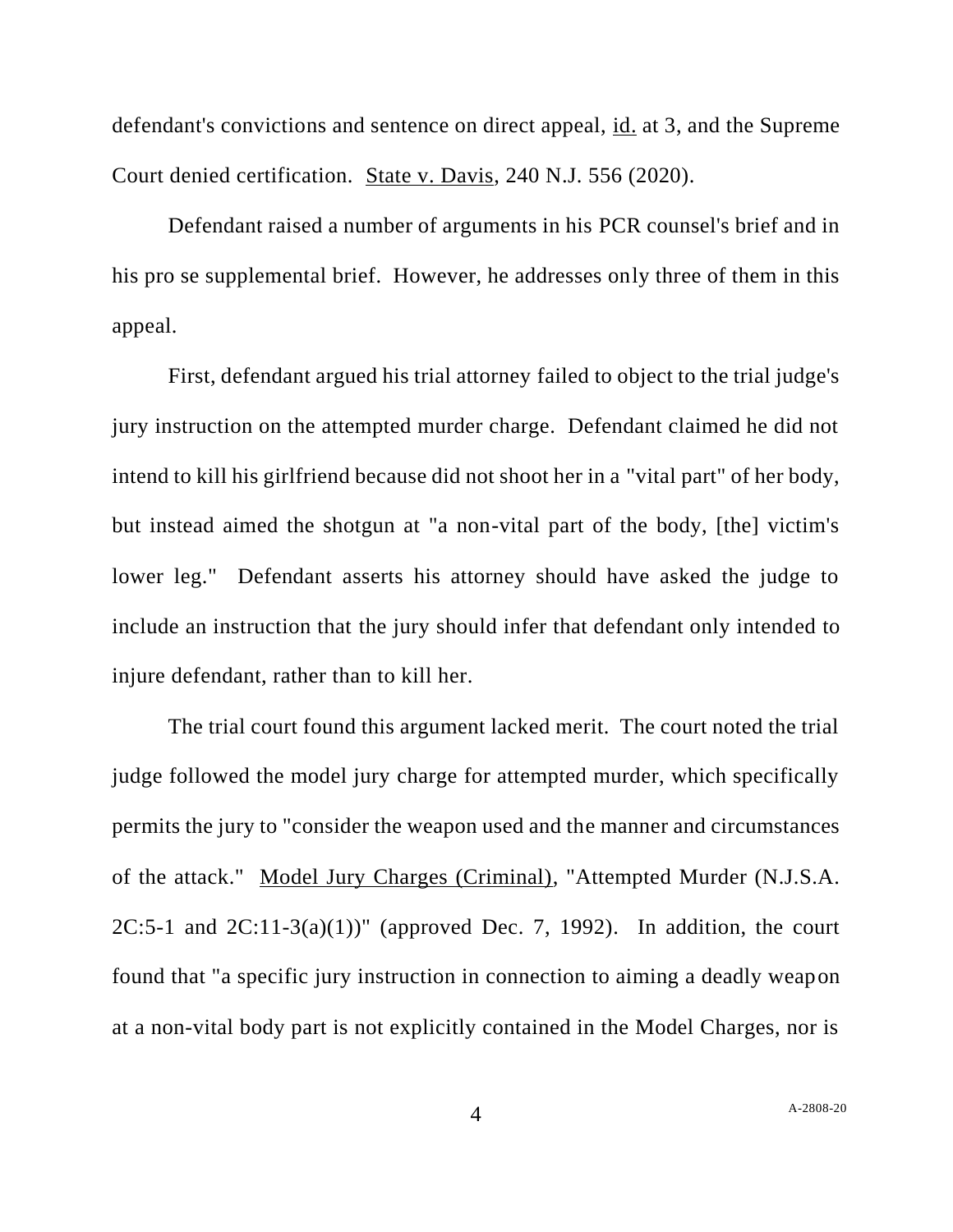defendant's convictions and sentence on direct appeal, id. at 3, and the Supreme Court denied certification. State v. Davis, 240 N.J. 556 (2020).

Defendant raised a number of arguments in his PCR counsel's brief and in his pro se supplemental brief. However, he addresses only three of them in this appeal.

First, defendant argued his trial attorney failed to object to the trial judge's jury instruction on the attempted murder charge. Defendant claimed he did not intend to kill his girlfriend because did not shoot her in a "vital part" of her body, but instead aimed the shotgun at "a non-vital part of the body, [the] victim's lower leg." Defendant asserts his attorney should have asked the judge to include an instruction that the jury should infer that defendant only intended to injure defendant, rather than to kill her.

The trial court found this argument lacked merit. The court noted the trial judge followed the model jury charge for attempted murder, which specifically permits the jury to "consider the weapon used and the manner and circumstances of the attack." Model Jury Charges (Criminal), "Attempted Murder (N.J.S.A. 2C:5-1 and  $2C:11-3(a)(1)$ " (approved Dec. 7, 1992). In addition, the court found that "a specific jury instruction in connection to aiming a deadly weapon at a non-vital body part is not explicitly contained in the Model Charges, nor is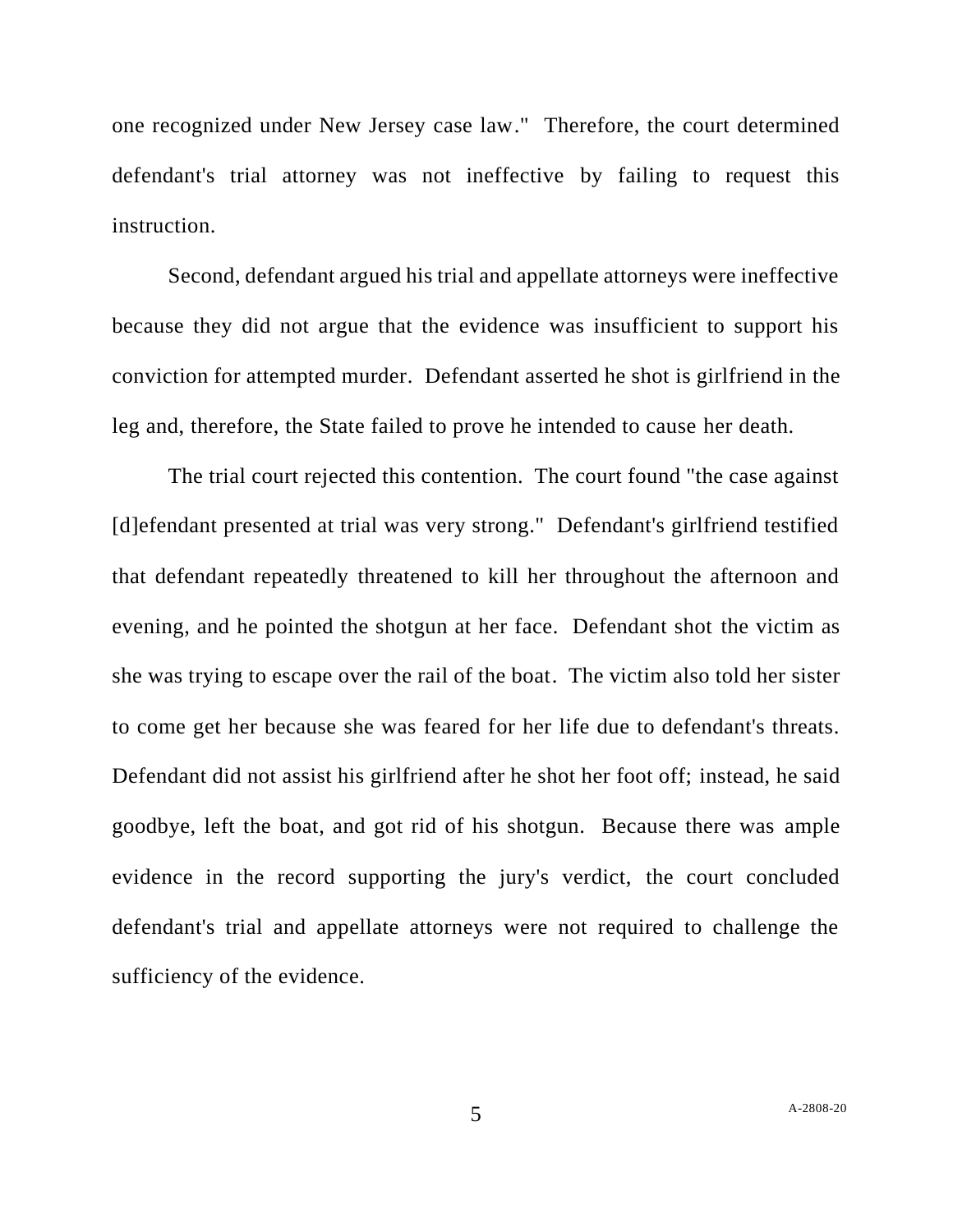one recognized under New Jersey case law." Therefore, the court determined defendant's trial attorney was not ineffective by failing to request this instruction.

Second, defendant argued his trial and appellate attorneys were ineffective because they did not argue that the evidence was insufficient to support his conviction for attempted murder. Defendant asserted he shot is girlfriend in the leg and, therefore, the State failed to prove he intended to cause her death.

The trial court rejected this contention. The court found "the case against [d]efendant presented at trial was very strong." Defendant's girlfriend testified that defendant repeatedly threatened to kill her throughout the afternoon and evening, and he pointed the shotgun at her face. Defendant shot the victim as she was trying to escape over the rail of the boat. The victim also told her sister to come get her because she was feared for her life due to defendant's threats. Defendant did not assist his girlfriend after he shot her foot off; instead, he said goodbye, left the boat, and got rid of his shotgun. Because there was ample evidence in the record supporting the jury's verdict, the court concluded defendant's trial and appellate attorneys were not required to challenge the sufficiency of the evidence.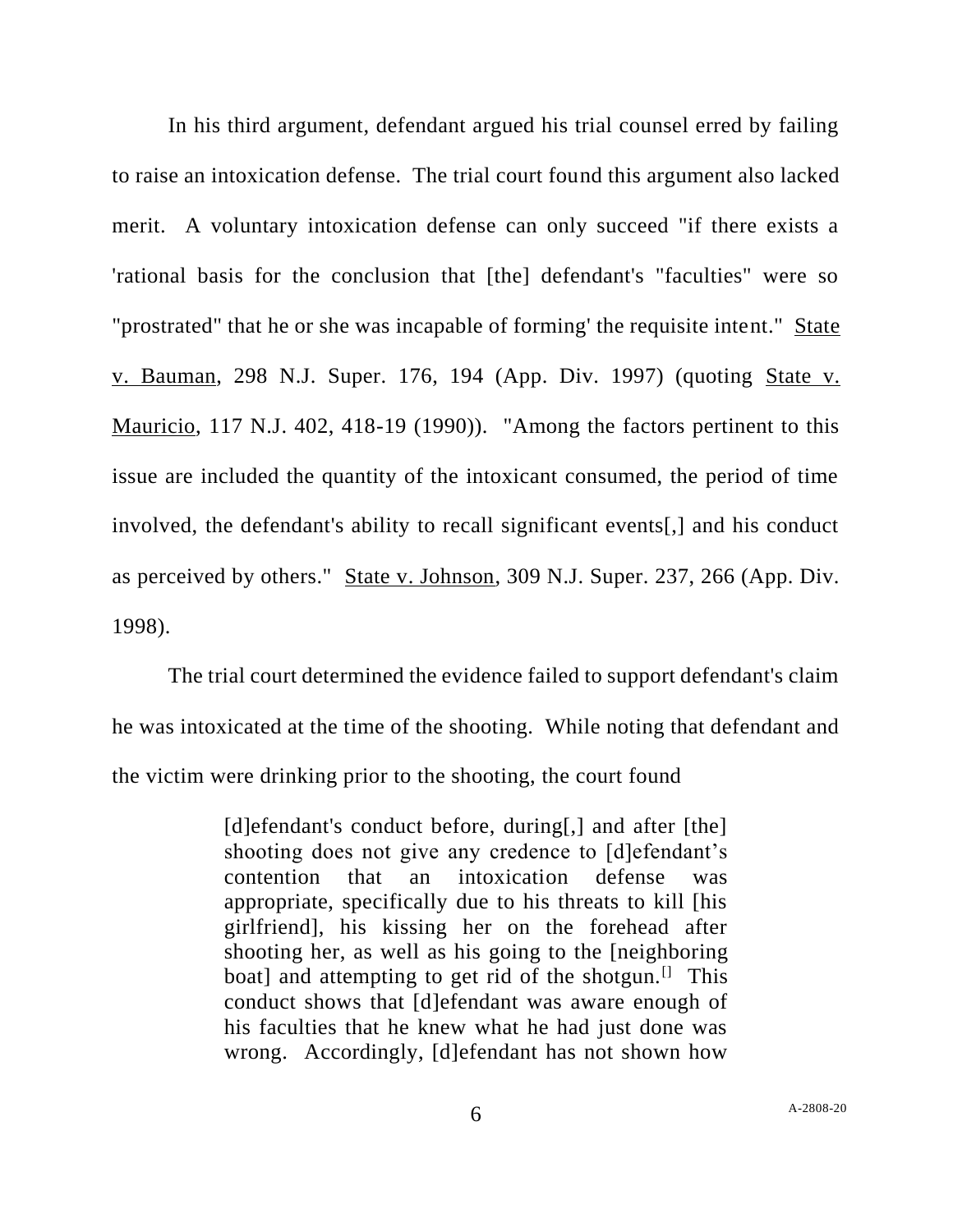In his third argument, defendant argued his trial counsel erred by failing to raise an intoxication defense. The trial court found this argument also lacked merit. A voluntary intoxication defense can only succeed "if there exists a 'rational basis for the conclusion that [the] defendant's "faculties" were so "prostrated" that he or she was incapable of forming' the requisite intent." State v. Bauman, 298 N.J. Super. 176, 194 (App. Div. 1997) (quoting State v. Mauricio, 117 N.J. 402, 418-19 (1990)). "Among the factors pertinent to this issue are included the quantity of the intoxicant consumed, the period of time involved, the defendant's ability to recall significant events[,] and his conduct as perceived by others." State v. Johnson, 309 N.J. Super. 237, 266 (App. Div. 1998).

The trial court determined the evidence failed to support defendant's claim he was intoxicated at the time of the shooting. While noting that defendant and the victim were drinking prior to the shooting, the court found

> [d]efendant's conduct before, during[,] and after [the] shooting does not give any credence to [d]efendant's contention that an intoxication defense was appropriate, specifically due to his threats to kill [his girlfriend], his kissing her on the forehead after shooting her, as well as his going to the [neighboring boat] and attempting to get rid of the shotgun.<sup>[]</sup> This conduct shows that [d]efendant was aware enough of his faculties that he knew what he had just done was wrong. Accordingly, [d]efendant has not shown how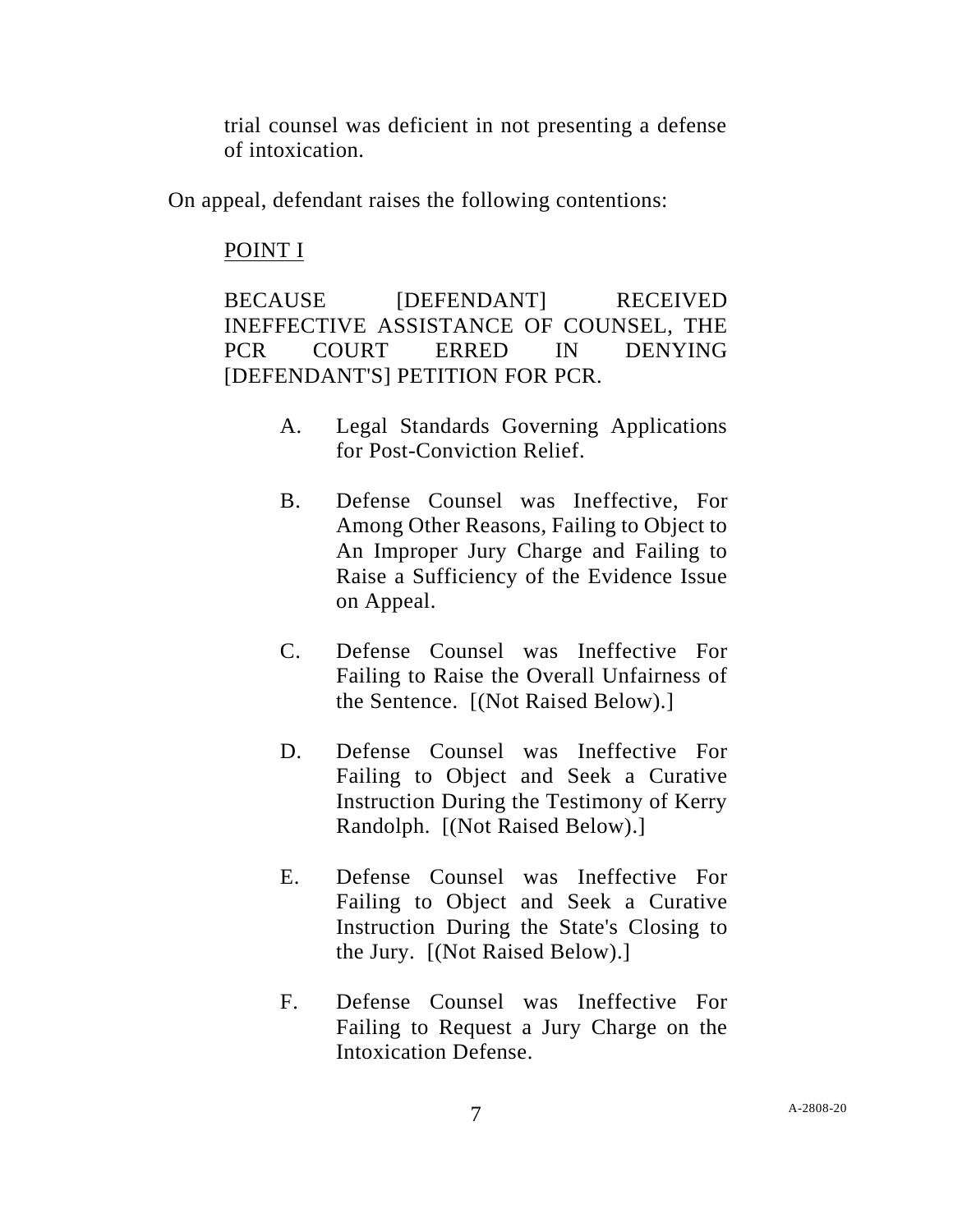trial counsel was deficient in not presenting a defense of intoxication.

On appeal, defendant raises the following contentions:

## POINT I

BECAUSE [DEFENDANT] RECEIVED INEFFECTIVE ASSISTANCE OF COUNSEL, THE PCR COURT ERRED IN DENYING [DEFENDANT'S] PETITION FOR PCR.

- A. Legal Standards Governing Applications for Post-Conviction Relief.
- B. Defense Counsel was Ineffective, For Among Other Reasons, Failing to Object to An Improper Jury Charge and Failing to Raise a Sufficiency of the Evidence Issue on Appeal.
- C. Defense Counsel was Ineffective For Failing to Raise the Overall Unfairness of the Sentence. [(Not Raised Below).]
- D. Defense Counsel was Ineffective For Failing to Object and Seek a Curative Instruction During the Testimony of Kerry Randolph. [(Not Raised Below).]
- E. Defense Counsel was Ineffective For Failing to Object and Seek a Curative Instruction During the State's Closing to the Jury. [(Not Raised Below).]
- F. Defense Counsel was Ineffective For Failing to Request a Jury Charge on the Intoxication Defense.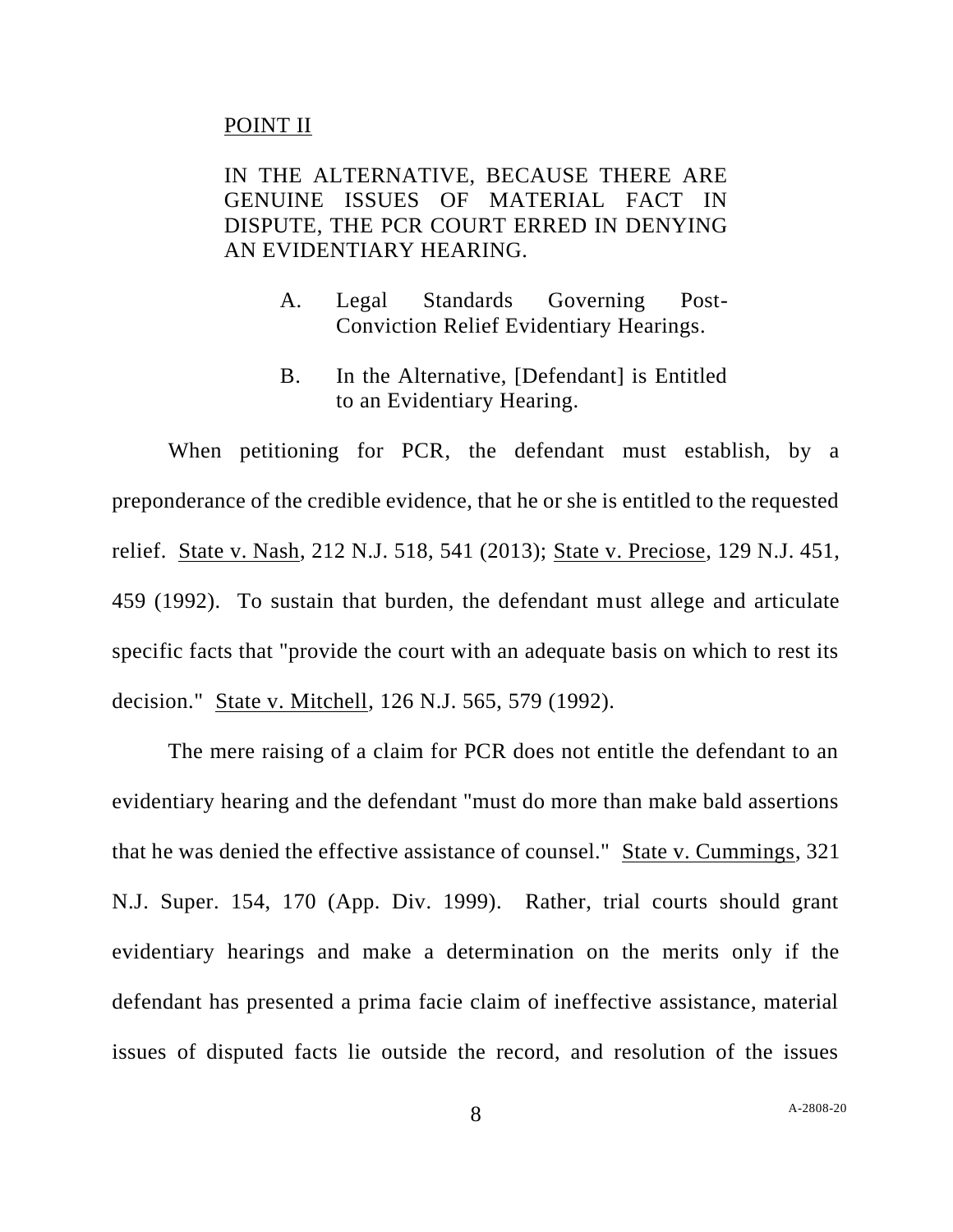## POINT II

IN THE ALTERNATIVE, BECAUSE THERE ARE GENUINE ISSUES OF MATERIAL FACT IN DISPUTE, THE PCR COURT ERRED IN DENYING AN EVIDENTIARY HEARING.

- A. Legal Standards Governing Post-Conviction Relief Evidentiary Hearings.
- B. In the Alternative, [Defendant] is Entitled to an Evidentiary Hearing.

When petitioning for PCR, the defendant must establish, by a preponderance of the credible evidence, that he or she is entitled to the requested relief. State v. Nash, 212 N.J. 518, 541 (2013); State v. Preciose, 129 N.J. 451, 459 (1992). To sustain that burden, the defendant must allege and articulate specific facts that "provide the court with an adequate basis on which to rest its decision." State v. Mitchell, 126 N.J. 565, 579 (1992).

The mere raising of a claim for PCR does not entitle the defendant to an evidentiary hearing and the defendant "must do more than make bald assertions that he was denied the effective assistance of counsel." State v. Cummings, 321 N.J. Super. 154, 170 (App. Div. 1999). Rather, trial courts should grant evidentiary hearings and make a determination on the merits only if the defendant has presented a prima facie claim of ineffective assistance, material issues of disputed facts lie outside the record, and resolution of the issues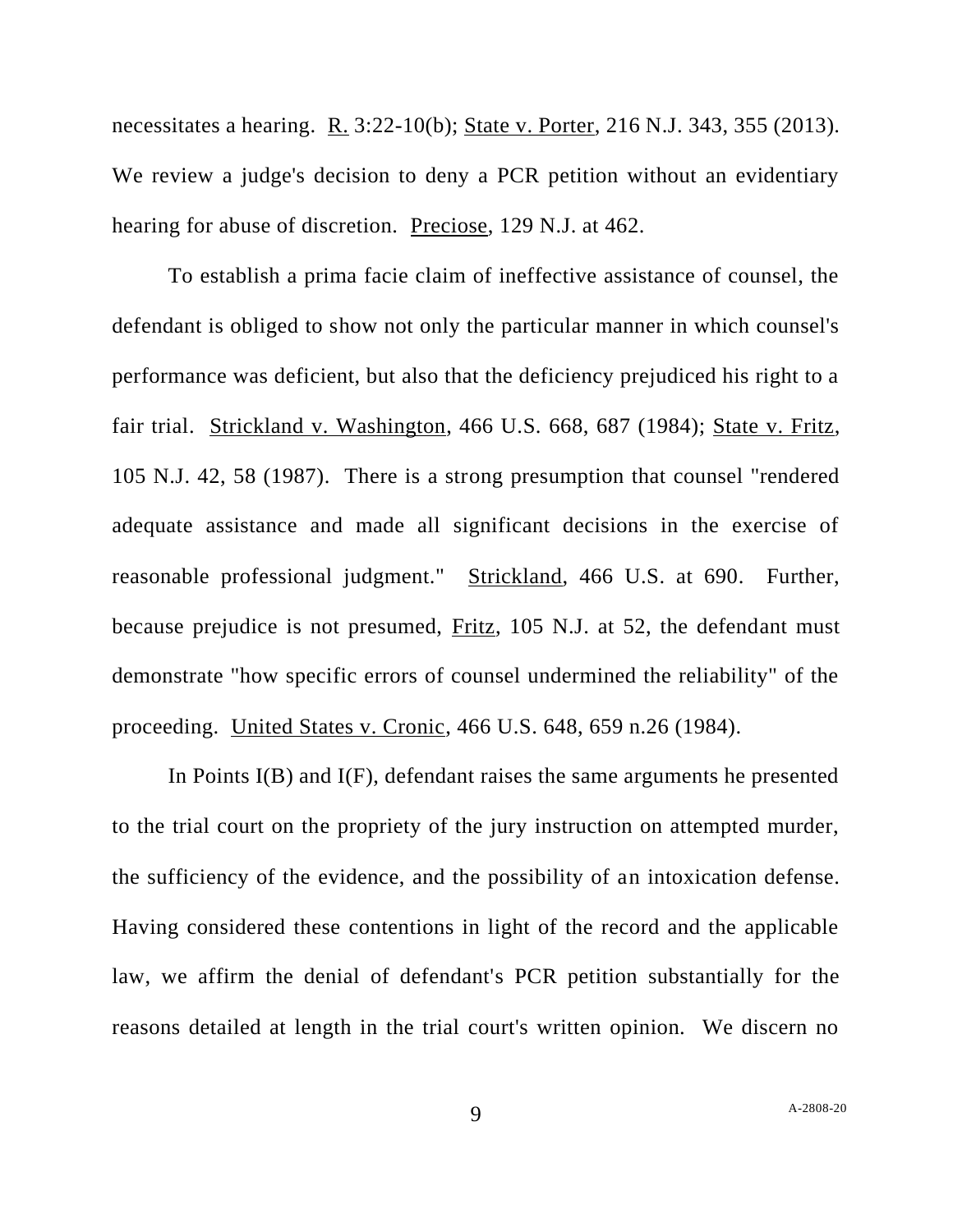necessitates a hearing. R. 3:22-10(b); State v. Porter, 216 N.J. 343, 355 (2013). We review a judge's decision to deny a PCR petition without an evidentiary hearing for abuse of discretion. Preciose, 129 N.J. at 462.

To establish a prima facie claim of ineffective assistance of counsel, the defendant is obliged to show not only the particular manner in which counsel's performance was deficient, but also that the deficiency prejudiced his right to a fair trial. Strickland v. Washington, 466 U.S. 668, 687 (1984); State v. Fritz, 105 N.J. 42, 58 (1987). There is a strong presumption that counsel "rendered adequate assistance and made all significant decisions in the exercise of reasonable professional judgment." Strickland, 466 U.S. at 690. Further, because prejudice is not presumed, Fritz, 105 N.J. at 52, the defendant must demonstrate "how specific errors of counsel undermined the reliability" of the proceeding. United States v. Cronic, 466 U.S. 648, 659 n.26 (1984).

In Points I(B) and I(F), defendant raises the same arguments he presented to the trial court on the propriety of the jury instruction on attempted murder, the sufficiency of the evidence, and the possibility of an intoxication defense. Having considered these contentions in light of the record and the applicable law, we affirm the denial of defendant's PCR petition substantially for the reasons detailed at length in the trial court's written opinion. We discern no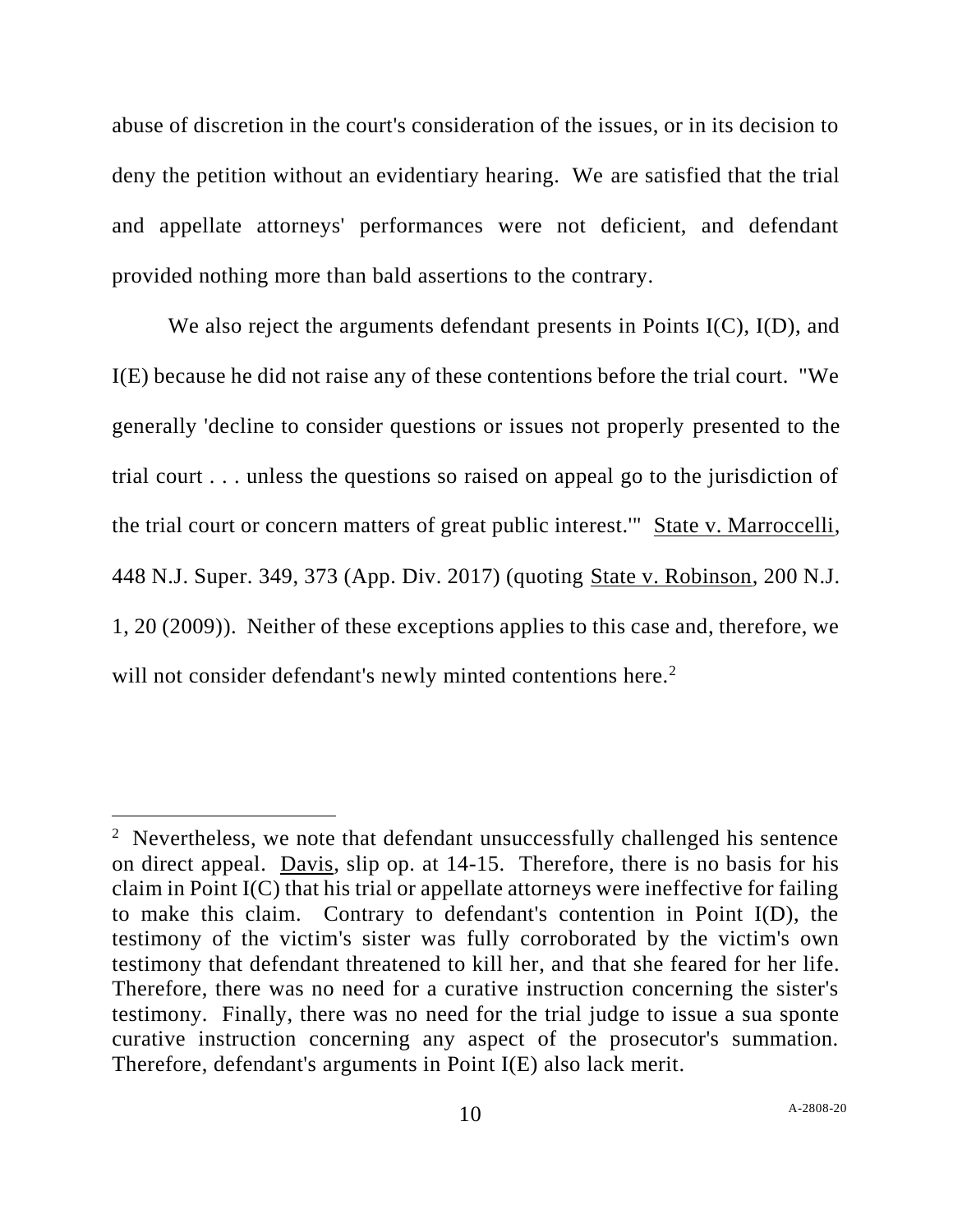abuse of discretion in the court's consideration of the issues, or in its decision to deny the petition without an evidentiary hearing. We are satisfied that the trial and appellate attorneys' performances were not deficient, and defendant provided nothing more than bald assertions to the contrary.

We also reject the arguments defendant presents in Points I(C), I(D), and I(E) because he did not raise any of these contentions before the trial court. "We generally 'decline to consider questions or issues not properly presented to the trial court . . . unless the questions so raised on appeal go to the jurisdiction of the trial court or concern matters of great public interest.'" State v. Marroccelli, 448 N.J. Super. 349, 373 (App. Div. 2017) (quoting State v. Robinson, 200 N.J. 1, 20 (2009)). Neither of these exceptions applies to this case and, therefore, we will not consider defendant's newly minted contentions here.<sup>2</sup>

<sup>&</sup>lt;sup>2</sup> Nevertheless, we note that defendant unsuccessfully challenged his sentence on direct appeal. Davis, slip op. at 14-15. Therefore, there is no basis for his claim in Point I(C) that his trial or appellate attorneys were ineffective for failing to make this claim. Contrary to defendant's contention in Point I(D), the testimony of the victim's sister was fully corroborated by the victim's own testimony that defendant threatened to kill her, and that she feared for her life. Therefore, there was no need for a curative instruction concerning the sister's testimony. Finally, there was no need for the trial judge to issue a sua sponte curative instruction concerning any aspect of the prosecutor's summation. Therefore, defendant's arguments in Point I(E) also lack merit.